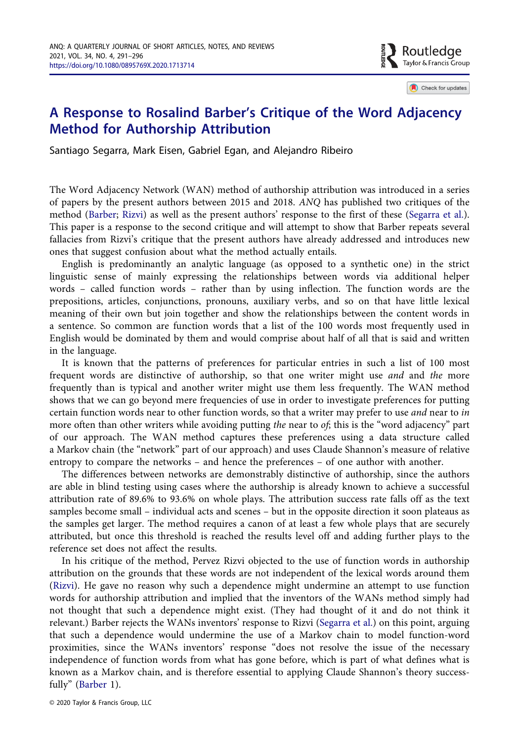$\blacktriangleright$  Routledge **EXECUTE OF SPEAK**<br>A Taylor & Francis Group

Check for updates

## A Response to Rosalind Barber's Critique of the Word Adjacency Method for Authorship Attribution

Santiago Segarra, Mark Eisen, Gabriel Egan, and Alejandro Ribeiro

The Word Adjacency Network (WAN) method of authorship attribution was introduced in a series of papers by the present authors between 2015 and 2018. ANQ has published two critiques of the method [\(Barber;](#page-5-0) [Rizvi](#page-5-1)) as well as the present authors' response to the first of these [\(Segarra et al.](#page-5-2)). This paper is a response to the second critique and will attempt to show that Barber repeats several fallacies from Rizvi's critique that the present authors have already addressed and introduces new ones that suggest confusion about what the method actually entails.

English is predominantly an analytic language (as opposed to a synthetic one) in the strict linguistic sense of mainly expressing the relationships between words via additional helper words – called function words – rather than by using inflection. The function words are the prepositions, articles, conjunctions, pronouns, auxiliary verbs, and so on that have little lexical meaning of their own but join together and show the relationships between the content words in a sentence. So common are function words that a list of the 100 words most frequently used in English would be dominated by them and would comprise about half of all that is said and written in the language.

It is known that the patterns of preferences for particular entries in such a list of 100 most frequent words are distinctive of authorship, so that one writer might use and and the more frequently than is typical and another writer might use them less frequently. The WAN method shows that we can go beyond mere frequencies of use in order to investigate preferences for putting certain function words near to other function words, so that a writer may prefer to use and near to in more often than other writers while avoiding putting the near to of; this is the "word adjacency" part of our approach. The WAN method captures these preferences using a data structure called a Markov chain (the "network" part of our approach) and uses Claude Shannon's measure of relative entropy to compare the networks – and hence the preferences – of one author with another.

The differences between networks are demonstrably distinctive of authorship, since the authors are able in blind testing using cases where the authorship is already known to achieve a successful attribution rate of 89.6% to 93.6% on whole plays. The attribution success rate falls off as the text samples become small – individual acts and scenes – but in the opposite direction it soon plateaus as the samples get larger. The method requires a canon of at least a few whole plays that are securely attributed, but once this threshold is reached the results level off and adding further plays to the reference set does not affect the results.

<span id="page-0-2"></span><span id="page-0-1"></span><span id="page-0-0"></span>In his critique of the method, Pervez Rizvi objected to the use of function words in authorship attribution on the grounds that these words are not independent of the lexical words around them [\(Rizvi\)](#page-5-1). He gave no reason why such a dependence might undermine an attempt to use function words for authorship attribution and implied that the inventors of the WANs method simply had not thought that such a dependence might exist. (They had thought of it and do not think it relevant.) Barber rejects the WANs inventors' response to Rizvi [\(Segarra et al.\)](#page-5-2) on this point, arguing that such a dependence would undermine the use of a Markov chain to model function-word proximities, since the WANs inventors' response "does not resolve the issue of the necessary independence of function words from what has gone before, which is part of what defines what is known as a Markov chain, and is therefore essential to applying Claude Shannon's theory successfully" ([Barber](#page-5-0) 1).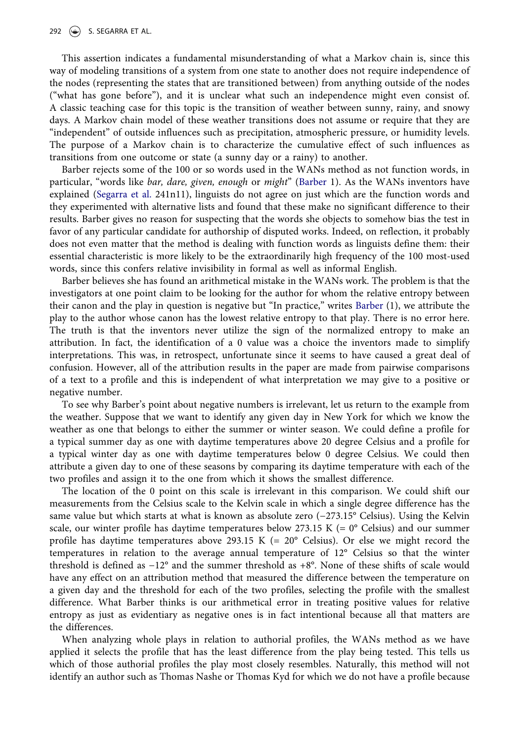This assertion indicates a fundamental misunderstanding of what a Markov chain is, since this way of modeling transitions of a system from one state to another does not require independence of the nodes (representing the states that are transitioned between) from anything outside of the nodes ("what has gone before"), and it is unclear what such an independence might even consist of. A classic teaching case for this topic is the transition of weather between sunny, rainy, and snowy days. A Markov chain model of these weather transitions does not assume or require that they are "independent" of outside influences such as precipitation, atmospheric pressure, or humidity levels. The purpose of a Markov chain is to characterize the cumulative effect of such influences as transitions from one outcome or state (a sunny day or a rainy) to another.

<span id="page-1-0"></span>Barber rejects some of the 100 or so words used in the WANs method as not function words, in particular, "words like bar, dare, given, enough or might" [\(Barber](#page-5-0) 1). As the WANs inventors have explained ([Segarra et al.](#page-5-3) 241n11), linguists do not agree on just which are the function words and they experimented with alternative lists and found that these make no significant difference to their results. Barber gives no reason for suspecting that the words she objects to somehow bias the test in favor of any particular candidate for authorship of disputed works. Indeed, on reflection, it probably does not even matter that the method is dealing with function words as linguists define them: their essential characteristic is more likely to be the extraordinarily high frequency of the 100 most-used words, since this confers relative invisibility in formal as well as informal English.

Barber believes she has found an arithmetical mistake in the WANs work. The problem is that the investigators at one point claim to be looking for the author for whom the relative entropy between their canon and the play in question is negative but "In practice," writes [Barber](#page-5-0) (1), we attribute the play to the author whose canon has the lowest relative entropy to that play. There is no error here. The truth is that the inventors never utilize the sign of the normalized entropy to make an attribution. In fact, the identification of a 0 value was a choice the inventors made to simplify interpretations. This was, in retrospect, unfortunate since it seems to have caused a great deal of confusion. However, all of the attribution results in the paper are made from pairwise comparisons of a text to a profile and this is independent of what interpretation we may give to a positive or negative number.

To see why Barber's point about negative numbers is irrelevant, let us return to the example from the weather. Suppose that we want to identify any given day in New York for which we know the weather as one that belongs to either the summer or winter season. We could define a profile for a typical summer day as one with daytime temperatures above 20 degree Celsius and a profile for a typical winter day as one with daytime temperatures below 0 degree Celsius. We could then attribute a given day to one of these seasons by comparing its daytime temperature with each of the two profiles and assign it to the one from which it shows the smallest difference.

The location of the 0 point on this scale is irrelevant in this comparison. We could shift our measurements from the Celsius scale to the Kelvin scale in which a single degree difference has the same value but which starts at what is known as absolute zero (−273.15° Celsius). Using the Kelvin scale, our winter profile has daytime temperatures below 273.15 K (=  $0^{\circ}$  Celsius) and our summer profile has daytime temperatures above 293.15 K (=  $20^{\circ}$  Celsius). Or else we might record the temperatures in relation to the average annual temperature of 12° Celsius so that the winter threshold is defined as −12° and the summer threshold as +8°. None of these shifts of scale would have any effect on an attribution method that measured the difference between the temperature on a given day and the threshold for each of the two profiles, selecting the profile with the smallest difference. What Barber thinks is our arithmetical error in treating positive values for relative entropy as just as evidentiary as negative ones is in fact intentional because all that matters are the differences.

When analyzing whole plays in relation to authorial profiles, the WANs method as we have applied it selects the profile that has the least difference from the play being tested. This tells us which of those authorial profiles the play most closely resembles. Naturally, this method will not identify an author such as Thomas Nashe or Thomas Kyd for which we do not have a profile because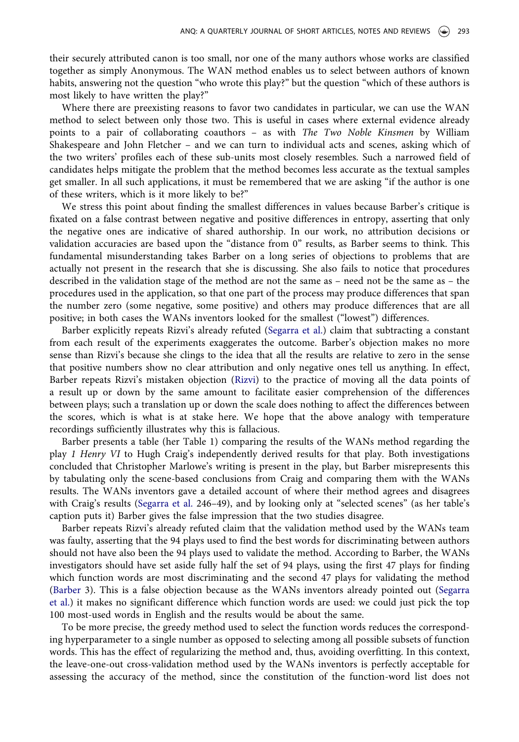their securely attributed canon is too small, nor one of the many authors whose works are classified together as simply Anonymous. The WAN method enables us to select between authors of known habits, answering not the question "who wrote this play?" but the question "which of these authors is most likely to have written the play?"

Where there are preexisting reasons to favor two candidates in particular, we can use the WAN method to select between only those two. This is useful in cases where external evidence already points to a pair of collaborating coauthors – as with The Two Noble Kinsmen by William Shakespeare and John Fletcher – and we can turn to individual acts and scenes, asking which of the two writers' profiles each of these sub-units most closely resembles. Such a narrowed field of candidates helps mitigate the problem that the method becomes less accurate as the textual samples get smaller. In all such applications, it must be remembered that we are asking "if the author is one of these writers, which is it more likely to be?"

We stress this point about finding the smallest differences in values because Barber's critique is fixated on a false contrast between negative and positive differences in entropy, asserting that only the negative ones are indicative of shared authorship. In our work, no attribution decisions or validation accuracies are based upon the "distance from 0" results, as Barber seems to think. This fundamental misunderstanding takes Barber on a long series of objections to problems that are actually not present in the research that she is discussing. She also fails to notice that procedures described in the validation stage of the method are not the same as – need not be the same as – the procedures used in the application, so that one part of the process may produce differences that span the number zero (some negative, some positive) and others may produce differences that are all positive; in both cases the WANs inventors looked for the smallest ("lowest") differences.

Barber explicitly repeats Rizvi's already refuted [\(Segarra et al.](#page-5-2)) claim that subtracting a constant from each result of the experiments exaggerates the outcome. Barber's objection makes no more sense than Rizvi's because she clings to the idea that all the results are relative to zero in the sense that positive numbers show no clear attribution and only negative ones tell us anything. In effect, Barber repeats Rizvi's mistaken objection ([Rizvi](#page-5-1)) to the practice of moving all the data points of a result up or down by the same amount to facilitate easier comprehension of the differences between plays; such a translation up or down the scale does nothing to affect the differences between the scores, which is what is at stake here. We hope that the above analogy with temperature recordings sufficiently illustrates why this is fallacious.

Barber presents a table (her Table 1) comparing the results of the WANs method regarding the play 1 Henry VI to Hugh Craig's independently derived results for that play. Both investigations concluded that Christopher Marlowe's writing is present in the play, but Barber misrepresents this by tabulating only the scene-based conclusions from Craig and comparing them with the WANs results. The WANs inventors gave a detailed account of where their method agrees and disagrees with Craig's results [\(Segarra et al.](#page-5-3) 246–49), and by looking only at "selected scenes" (as her table's caption puts it) Barber gives the false impression that the two studies disagree.

Barber repeats Rizvi's already refuted claim that the validation method used by the WANs team was faulty, asserting that the 94 plays used to find the best words for discriminating between authors should not have also been the 94 plays used to validate the method. According to Barber, the WANs investigators should have set aside fully half the set of 94 plays, using the first 47 plays for finding which function words are most discriminating and the second 47 plays for validating the method [\(Barber](#page-5-0) 3). This is a false objection because as the WANs inventors already pointed out [\(Segarra](#page-5-2) [et al.\)](#page-5-2) it makes no significant difference which function words are used: we could just pick the top 100 most-used words in English and the results would be about the same.

To be more precise, the greedy method used to select the function words reduces the corresponding hyperparameter to a single number as opposed to selecting among all possible subsets of function words. This has the effect of regularizing the method and, thus, avoiding overfitting. In this context, the leave-one-out cross-validation method used by the WANs inventors is perfectly acceptable for assessing the accuracy of the method, since the constitution of the function-word list does not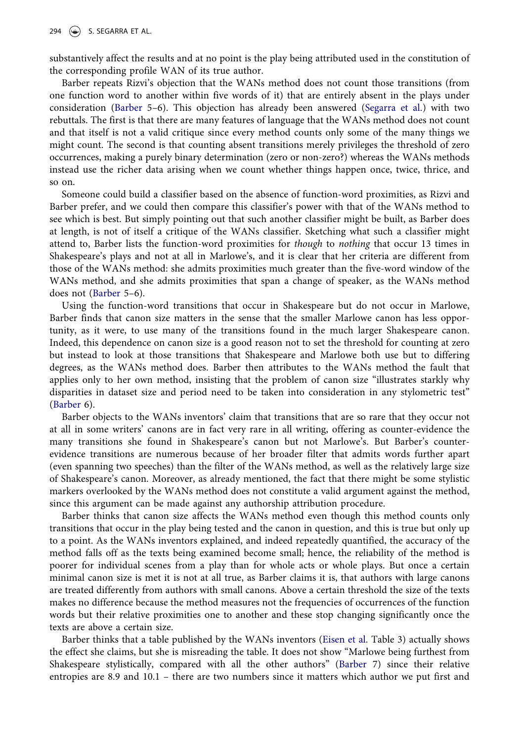substantively affect the results and at no point is the play being attributed used in the constitution of the corresponding profile WAN of its true author.

Barber repeats Rizvi's objection that the WANs method does not count those transitions (from one function word to another within five words of it) that are entirely absent in the plays under consideration [\(Barber](#page-5-0) 5–6). This objection has already been answered ([Segarra et al.](#page-5-2)) with two rebuttals. The first is that there are many features of language that the WANs method does not count and that itself is not a valid critique since every method counts only some of the many things we might count. The second is that counting absent transitions merely privileges the threshold of zero occurrences, making a purely binary determination (zero or non-zero?) whereas the WANs methods instead use the richer data arising when we count whether things happen once, twice, thrice, and so on.

Someone could build a classifier based on the absence of function-word proximities, as Rizvi and Barber prefer, and we could then compare this classifier's power with that of the WANs method to see which is best. But simply pointing out that such another classifier might be built, as Barber does at length, is not of itself a critique of the WANs classifier. Sketching what such a classifier might attend to, Barber lists the function-word proximities for though to nothing that occur 13 times in Shakespeare's plays and not at all in Marlowe's, and it is clear that her criteria are different from those of the WANs method: she admits proximities much greater than the five-word window of the WANs method, and she admits proximities that span a change of speaker, as the WANs method does not ([Barber](#page-5-0) 5–6).

Using the function-word transitions that occur in Shakespeare but do not occur in Marlowe, Barber finds that canon size matters in the sense that the smaller Marlowe canon has less opportunity, as it were, to use many of the transitions found in the much larger Shakespeare canon. Indeed, this dependence on canon size is a good reason not to set the threshold for counting at zero but instead to look at those transitions that Shakespeare and Marlowe both use but to differing degrees, as the WANs method does. Barber then attributes to the WANs method the fault that applies only to her own method, insisting that the problem of canon size "illustrates starkly why disparities in dataset size and period need to be taken into consideration in any stylometric test" [\(Barber](#page-5-0) 6).

Barber objects to the WANs inventors' claim that transitions that are so rare that they occur not at all in some writers' canons are in fact very rare in all writing, offering as counter-evidence the many transitions she found in Shakespeare's canon but not Marlowe's. But Barber's counterevidence transitions are numerous because of her broader filter that admits words further apart (even spanning two speeches) than the filter of the WANs method, as well as the relatively large size of Shakespeare's canon. Moreover, as already mentioned, the fact that there might be some stylistic markers overlooked by the WANs method does not constitute a valid argument against the method, since this argument can be made against any authorship attribution procedure.

Barber thinks that canon size affects the WANs method even though this method counts only transitions that occur in the play being tested and the canon in question, and this is true but only up to a point. As the WANs inventors explained, and indeed repeatedly quantified, the accuracy of the method falls off as the texts being examined become small; hence, the reliability of the method is poorer for individual scenes from a play than for whole acts or whole plays. But once a certain minimal canon size is met it is not at all true, as Barber claims it is, that authors with large canons are treated differently from authors with small canons. Above a certain threshold the size of the texts makes no difference because the method measures not the frequencies of occurrences of the function words but their relative proximities one to another and these stop changing significantly once the texts are above a certain size.

<span id="page-3-0"></span>Barber thinks that a table published by the WANs inventors [\(Eisen et al.](#page-5-4) Table 3) actually shows the effect she claims, but she is misreading the table. It does not show "Marlowe being furthest from Shakespeare stylistically, compared with all the other authors" [\(Barber](#page-5-0) 7) since their relative entropies are 8.9 and 10.1 – there are two numbers since it matters which author we put first and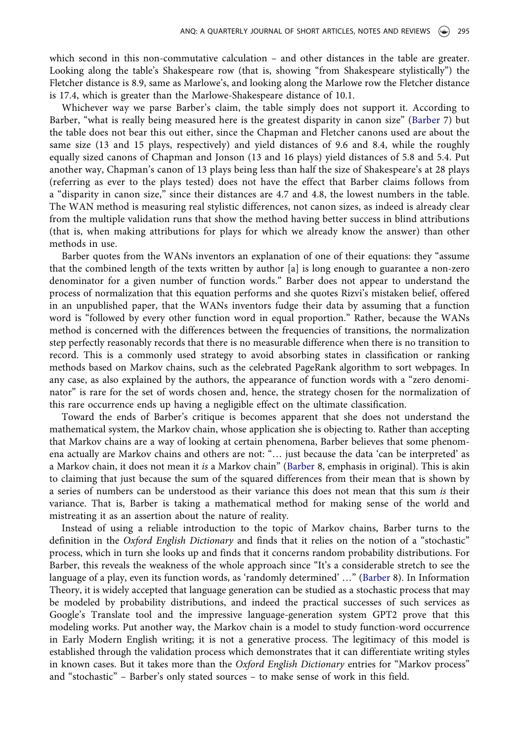which second in this non-commutative calculation – and other distances in the table are greater. Looking along the table's Shakespeare row (that is, showing "from Shakespeare stylistically") the Fletcher distance is 8.9, same as Marlowe's, and looking along the Marlowe row the Fletcher distance is 17.4, which is greater than the Marlowe-Shakespeare distance of 10.1.

Whichever way we parse Barber's claim, the table simply does not support it. According to Barber, "what is really being measured here is the greatest disparity in canon size" ([Barber](#page-5-0) 7) but the table does not bear this out either, since the Chapman and Fletcher canons used are about the same size (13 and 15 plays, respectively) and yield distances of 9.6 and 8.4, while the roughly equally sized canons of Chapman and Jonson (13 and 16 plays) yield distances of 5.8 and 5.4. Put another way, Chapman's canon of 13 plays being less than half the size of Shakespeare's at 28 plays (referring as ever to the plays tested) does not have the effect that Barber claims follows from a "disparity in canon size," since their distances are 4.7 and 4.8, the lowest numbers in the table. The WAN method is measuring real stylistic differences, not canon sizes, as indeed is already clear from the multiple validation runs that show the method having better success in blind attributions (that is, when making attributions for plays for which we already know the answer) than other methods in use.

Barber quotes from the WANs inventors an explanation of one of their equations: they "assume that the combined length of the texts written by author [a] is long enough to guarantee a non-zero denominator for a given number of function words." Barber does not appear to understand the process of normalization that this equation performs and she quotes Rizvi's mistaken belief, offered in an unpublished paper, that the WANs inventors fudge their data by assuming that a function word is "followed by every other function word in equal proportion." Rather, because the WANs method is concerned with the differences between the frequencies of transitions, the normalization step perfectly reasonably records that there is no measurable difference when there is no transition to record. This is a commonly used strategy to avoid absorbing states in classification or ranking methods based on Markov chains, such as the celebrated PageRank algorithm to sort webpages. In any case, as also explained by the authors, the appearance of function words with a "zero denominator" is rare for the set of words chosen and, hence, the strategy chosen for the normalization of this rare occurrence ends up having a negligible effect on the ultimate classification.

Toward the ends of Barber's critique is becomes apparent that she does not understand the mathematical system, the Markov chain, whose application she is objecting to. Rather than accepting that Markov chains are a way of looking at certain phenomena, Barber believes that some phenomena actually are Markov chains and others are not: "… just because the data 'can be interpreted' as a Markov chain, it does not mean it is a Markov chain" ([Barber](#page-5-0) 8, emphasis in original). This is akin to claiming that just because the sum of the squared differences from their mean that is shown by a series of numbers can be understood as their variance this does not mean that this sum is their variance. That is, Barber is taking a mathematical method for making sense of the world and mistreating it as an assertion about the nature of reality.

Instead of using a reliable introduction to the topic of Markov chains, Barber turns to the definition in the Oxford English Dictionary and finds that it relies on the notion of a "stochastic" process, which in turn she looks up and finds that it concerns random probability distributions. For Barber, this reveals the weakness of the whole approach since "It's a considerable stretch to see the language of a play, even its function words, as 'randomly determined' …" ([Barber](#page-5-0) 8). In Information Theory, it is widely accepted that language generation can be studied as a stochastic process that may be modeled by probability distributions, and indeed the practical successes of such services as Google's Translate tool and the impressive language-generation system GPT2 prove that this modeling works. Put another way, the Markov chain is a model to study function-word occurrence in Early Modern English writing; it is not a generative process. The legitimacy of this model is established through the validation process which demonstrates that it can differentiate writing styles in known cases. But it takes more than the Oxford English Dictionary entries for "Markov process" and "stochastic" – Barber's only stated sources – to make sense of work in this field.